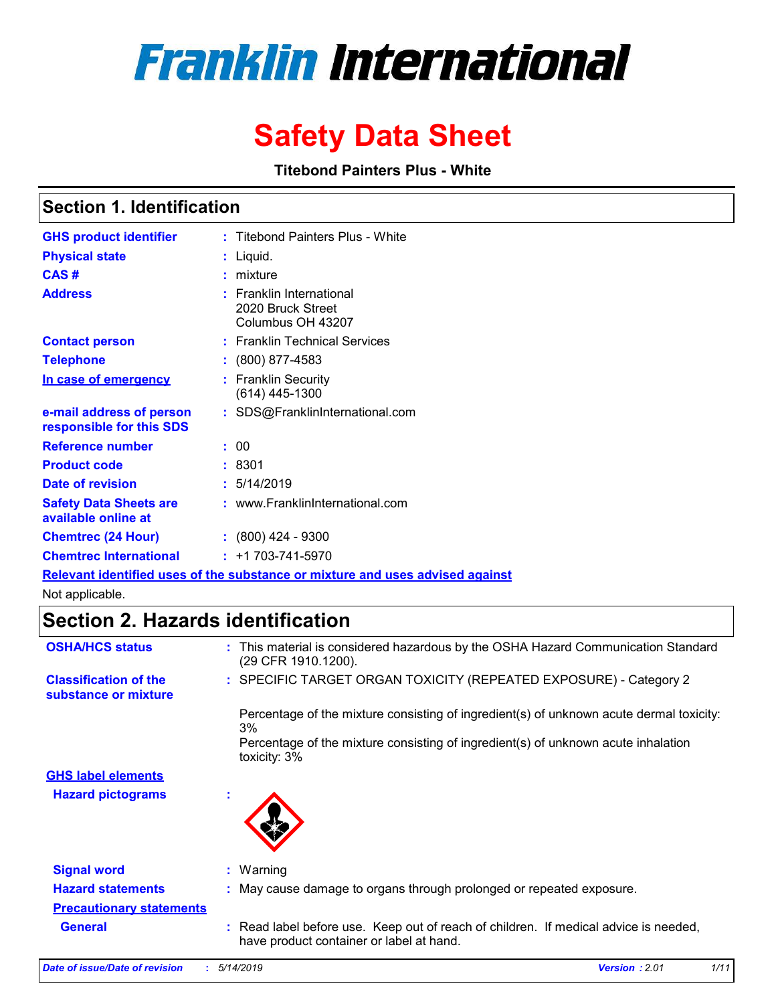# **Franklin International**

# **Safety Data Sheet**

**Titebond Painters Plus - White**

# **Section 1. Identification**

| <b>GHS product identifier</b>                        | : Titebond Painters Plus - White                                              |
|------------------------------------------------------|-------------------------------------------------------------------------------|
| <b>Physical state</b>                                | : Liquid.                                                                     |
| CAS#                                                 | $:$ mixture                                                                   |
| <b>Address</b>                                       | $:$ Franklin International<br>2020 Bruck Street<br>Columbus OH 43207          |
| <b>Contact person</b>                                | : Franklin Technical Services                                                 |
| <b>Telephone</b>                                     | : (800) 877-4583                                                              |
| In case of emergency                                 | : Franklin Security<br>$(614)$ 445-1300                                       |
| e-mail address of person<br>responsible for this SDS | : SDS@FranklinInternational.com                                               |
| <b>Reference number</b>                              | : 00                                                                          |
| <b>Product code</b>                                  | :8301                                                                         |
| <b>Date of revision</b>                              | : 5/14/2019                                                                   |
| <b>Safety Data Sheets are</b><br>available online at | : www.FranklinInternational.com                                               |
| <b>Chemtrec (24 Hour)</b>                            | $: (800)$ 424 - 9300                                                          |
| <b>Chemtrec International</b>                        | $: +1703 - 741 - 5970$                                                        |
|                                                      | Relevant identified uses of the substance or mixture and uses advised against |

Not applicable.

# **Section 2. Hazards identification**

| <b>OSHA/HCS status</b>                               | : This material is considered hazardous by the OSHA Hazard Communication Standard<br>(29 CFR 1910.1200).                         |
|------------------------------------------------------|----------------------------------------------------------------------------------------------------------------------------------|
| <b>Classification of the</b><br>substance or mixture | : SPECIFIC TARGET ORGAN TOXICITY (REPEATED EXPOSURE) - Category 2                                                                |
|                                                      | Percentage of the mixture consisting of ingredient(s) of unknown acute dermal toxicity:<br>3%                                    |
|                                                      | Percentage of the mixture consisting of ingredient(s) of unknown acute inhalation<br>toxicity: 3%                                |
| <b>GHS label elements</b>                            |                                                                                                                                  |
| <b>Hazard pictograms</b>                             | ×.                                                                                                                               |
| <b>Signal word</b>                                   | $:$ Warning                                                                                                                      |
| <b>Hazard statements</b>                             | : May cause damage to organs through prolonged or repeated exposure.                                                             |
| <b>Precautionary statements</b>                      |                                                                                                                                  |
| <b>General</b>                                       | : Read label before use. Keep out of reach of children. If medical advice is needed,<br>have product container or label at hand. |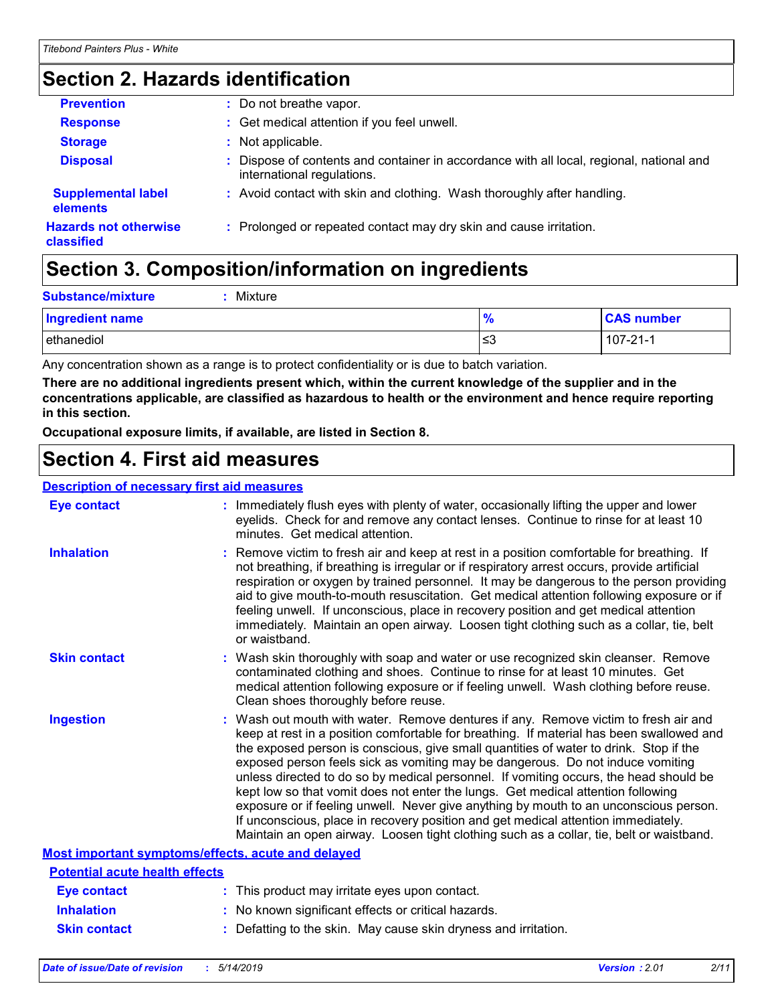# **Section 2. Hazards identification**

| <b>Prevention</b>                          | : Do not breathe vapor.                                                                                                |
|--------------------------------------------|------------------------------------------------------------------------------------------------------------------------|
| <b>Response</b>                            | : Get medical attention if you feel unwell.                                                                            |
| <b>Storage</b>                             | : Not applicable.                                                                                                      |
| <b>Disposal</b>                            | : Dispose of contents and container in accordance with all local, regional, national and<br>international regulations. |
| <b>Supplemental label</b><br>elements      | : Avoid contact with skin and clothing. Wash thoroughly after handling.                                                |
| <b>Hazards not otherwise</b><br>classified | : Prolonged or repeated contact may dry skin and cause irritation.                                                     |

# **Section 3. Composition/information on ingredients**

| <b>Substance/mixture</b> | Mixture |               |                   |
|--------------------------|---------|---------------|-------------------|
| Ingredient name          |         | $\frac{9}{6}$ | <b>CAS number</b> |
| lethanediol              |         | ≲3            | $107 - 21 - 1$    |

Any concentration shown as a range is to protect confidentiality or is due to batch variation.

**There are no additional ingredients present which, within the current knowledge of the supplier and in the concentrations applicable, are classified as hazardous to health or the environment and hence require reporting in this section.**

**Occupational exposure limits, if available, are listed in Section 8.**

# **Section 4. First aid measures**

### **Description of necessary first aid measures**

| <b>Eye contact</b>                                 | : Immediately flush eyes with plenty of water, occasionally lifting the upper and lower<br>eyelids. Check for and remove any contact lenses. Continue to rinse for at least 10<br>minutes. Get medical attention.                                                                                                                                                                                                                                                                                                                                                                                                                                                                                                                                                                                                 |
|----------------------------------------------------|-------------------------------------------------------------------------------------------------------------------------------------------------------------------------------------------------------------------------------------------------------------------------------------------------------------------------------------------------------------------------------------------------------------------------------------------------------------------------------------------------------------------------------------------------------------------------------------------------------------------------------------------------------------------------------------------------------------------------------------------------------------------------------------------------------------------|
| <b>Inhalation</b>                                  | : Remove victim to fresh air and keep at rest in a position comfortable for breathing. If<br>not breathing, if breathing is irregular or if respiratory arrest occurs, provide artificial<br>respiration or oxygen by trained personnel. It may be dangerous to the person providing<br>aid to give mouth-to-mouth resuscitation. Get medical attention following exposure or if<br>feeling unwell. If unconscious, place in recovery position and get medical attention<br>immediately. Maintain an open airway. Loosen tight clothing such as a collar, tie, belt<br>or waistband.                                                                                                                                                                                                                              |
| <b>Skin contact</b>                                | : Wash skin thoroughly with soap and water or use recognized skin cleanser. Remove<br>contaminated clothing and shoes. Continue to rinse for at least 10 minutes. Get<br>medical attention following exposure or if feeling unwell. Wash clothing before reuse.<br>Clean shoes thoroughly before reuse.                                                                                                                                                                                                                                                                                                                                                                                                                                                                                                           |
| <b>Ingestion</b>                                   | : Wash out mouth with water. Remove dentures if any. Remove victim to fresh air and<br>keep at rest in a position comfortable for breathing. If material has been swallowed and<br>the exposed person is conscious, give small quantities of water to drink. Stop if the<br>exposed person feels sick as vomiting may be dangerous. Do not induce vomiting<br>unless directed to do so by medical personnel. If vomiting occurs, the head should be<br>kept low so that vomit does not enter the lungs. Get medical attention following<br>exposure or if feeling unwell. Never give anything by mouth to an unconscious person.<br>If unconscious, place in recovery position and get medical attention immediately.<br>Maintain an open airway. Loosen tight clothing such as a collar, tie, belt or waistband. |
| Most important symptoms/effects, acute and delayed |                                                                                                                                                                                                                                                                                                                                                                                                                                                                                                                                                                                                                                                                                                                                                                                                                   |
| <b>Potential acute health effects</b>              |                                                                                                                                                                                                                                                                                                                                                                                                                                                                                                                                                                                                                                                                                                                                                                                                                   |
| <b>Eye contact</b>                                 | : This product may irritate eyes upon contact.                                                                                                                                                                                                                                                                                                                                                                                                                                                                                                                                                                                                                                                                                                                                                                    |
| <b>Inhalation</b>                                  | : No known significant effects or critical hazards.                                                                                                                                                                                                                                                                                                                                                                                                                                                                                                                                                                                                                                                                                                                                                               |
| <b>Skin contact</b>                                | : Defatting to the skin. May cause skin dryness and irritation.                                                                                                                                                                                                                                                                                                                                                                                                                                                                                                                                                                                                                                                                                                                                                   |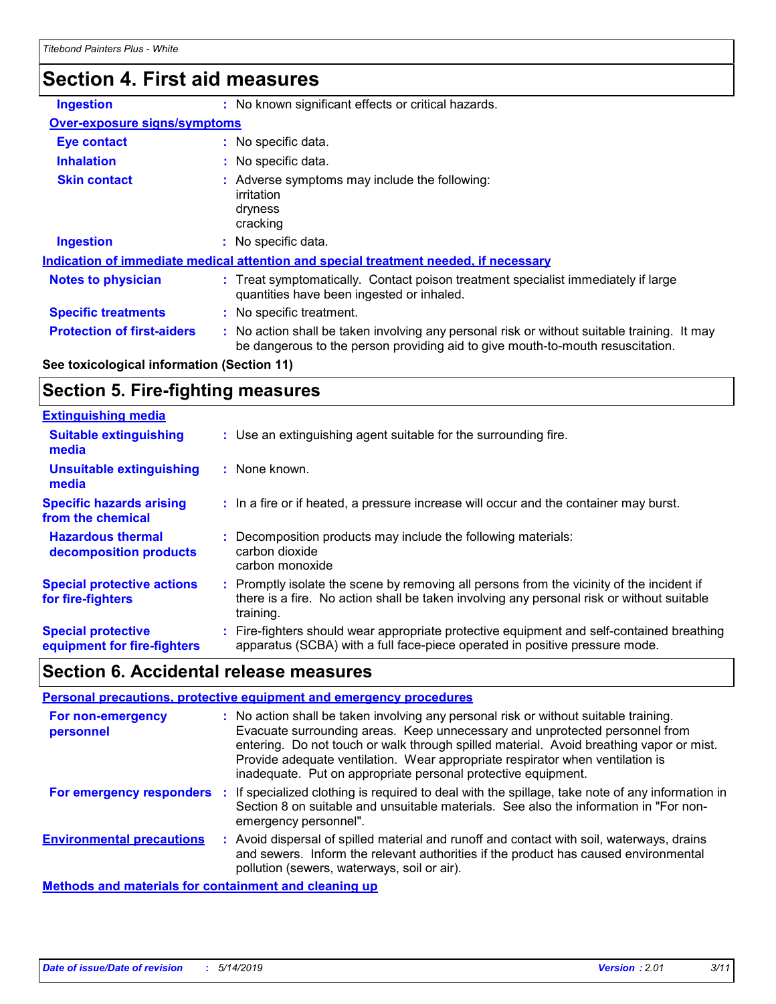# **Section 4. First aid measures**

| <b>Ingestion</b>                    | : No known significant effects or critical hazards.                                                                                                                           |
|-------------------------------------|-------------------------------------------------------------------------------------------------------------------------------------------------------------------------------|
| <b>Over-exposure signs/symptoms</b> |                                                                                                                                                                               |
| Eye contact                         | : No specific data.                                                                                                                                                           |
| <b>Inhalation</b>                   | : No specific data.                                                                                                                                                           |
| <b>Skin contact</b>                 | : Adverse symptoms may include the following:<br>irritation<br>dryness<br>cracking                                                                                            |
| <b>Ingestion</b>                    | : No specific data.                                                                                                                                                           |
|                                     | Indication of immediate medical attention and special treatment needed, if necessary                                                                                          |
| <b>Notes to physician</b>           | Treat symptomatically. Contact poison treatment specialist immediately if large<br>quantities have been ingested or inhaled.                                                  |
| <b>Specific treatments</b>          | : No specific treatment.                                                                                                                                                      |
| <b>Protection of first-aiders</b>   | : No action shall be taken involving any personal risk or without suitable training. It may<br>be dangerous to the person providing aid to give mouth-to-mouth resuscitation. |

# **See toxicological information (Section 11)**

# **Section 5. Fire-fighting measures**

| <b>Extinguishing media</b>                               |                                                                                                                                                                                                     |
|----------------------------------------------------------|-----------------------------------------------------------------------------------------------------------------------------------------------------------------------------------------------------|
| <b>Suitable extinguishing</b><br>media                   | : Use an extinguishing agent suitable for the surrounding fire.                                                                                                                                     |
| <b>Unsuitable extinguishing</b><br>media                 | : None known.                                                                                                                                                                                       |
| <b>Specific hazards arising</b><br>from the chemical     | : In a fire or if heated, a pressure increase will occur and the container may burst.                                                                                                               |
| <b>Hazardous thermal</b><br>decomposition products       | Decomposition products may include the following materials:<br>carbon dioxide<br>carbon monoxide                                                                                                    |
| <b>Special protective actions</b><br>for fire-fighters   | : Promptly isolate the scene by removing all persons from the vicinity of the incident if<br>there is a fire. No action shall be taken involving any personal risk or without suitable<br>training. |
| <b>Special protective</b><br>equipment for fire-fighters | Fire-fighters should wear appropriate protective equipment and self-contained breathing<br>apparatus (SCBA) with a full face-piece operated in positive pressure mode.                              |

# **Section 6. Accidental release measures**

| Personal precautions, protective equipment and emergency procedures |    |                                                                                                                                                                                                                                                                                                                                                                                                                  |  |
|---------------------------------------------------------------------|----|------------------------------------------------------------------------------------------------------------------------------------------------------------------------------------------------------------------------------------------------------------------------------------------------------------------------------------------------------------------------------------------------------------------|--|
| For non-emergency<br>personnel                                      |    | : No action shall be taken involving any personal risk or without suitable training.<br>Evacuate surrounding areas. Keep unnecessary and unprotected personnel from<br>entering. Do not touch or walk through spilled material. Avoid breathing vapor or mist.<br>Provide adequate ventilation. Wear appropriate respirator when ventilation is<br>inadequate. Put on appropriate personal protective equipment. |  |
| For emergency responders                                            |    | t If specialized clothing is required to deal with the spillage, take note of any information in<br>Section 8 on suitable and unsuitable materials. See also the information in "For non-<br>emergency personnel".                                                                                                                                                                                               |  |
| <b>Environmental precautions</b>                                    | ÷. | Avoid dispersal of spilled material and runoff and contact with soil, waterways, drains<br>and sewers. Inform the relevant authorities if the product has caused environmental<br>pollution (sewers, waterways, soil or air).                                                                                                                                                                                    |  |
| <b>Methods and materials for containment and cleaning up</b>        |    |                                                                                                                                                                                                                                                                                                                                                                                                                  |  |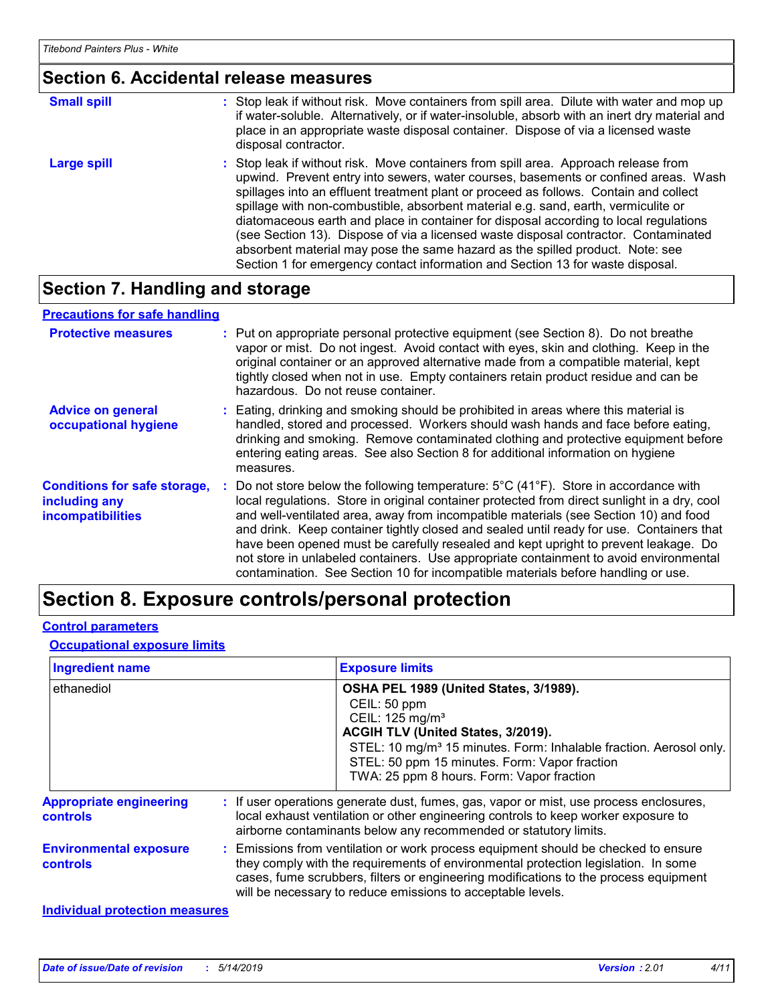# **Section 6. Accidental release measures**

| <b>Small spill</b> | : Stop leak if without risk. Move containers from spill area. Dilute with water and mop up<br>if water-soluble. Alternatively, or if water-insoluble, absorb with an inert dry material and<br>place in an appropriate waste disposal container. Dispose of via a licensed waste<br>disposal contractor.                                                                                                                                                                                                                                                                                                                                                                                                     |
|--------------------|--------------------------------------------------------------------------------------------------------------------------------------------------------------------------------------------------------------------------------------------------------------------------------------------------------------------------------------------------------------------------------------------------------------------------------------------------------------------------------------------------------------------------------------------------------------------------------------------------------------------------------------------------------------------------------------------------------------|
| Large spill        | : Stop leak if without risk. Move containers from spill area. Approach release from<br>upwind. Prevent entry into sewers, water courses, basements or confined areas. Wash<br>spillages into an effluent treatment plant or proceed as follows. Contain and collect<br>spillage with non-combustible, absorbent material e.g. sand, earth, vermiculite or<br>diatomaceous earth and place in container for disposal according to local regulations<br>(see Section 13). Dispose of via a licensed waste disposal contractor. Contaminated<br>absorbent material may pose the same hazard as the spilled product. Note: see<br>Section 1 for emergency contact information and Section 13 for waste disposal. |

# **Section 7. Handling and storage**

#### **Advice on general occupational hygiene Conditions for safe storage, including any incompatibilities** Eating, drinking and smoking should be prohibited in areas where this material is **:** handled, stored and processed. Workers should wash hands and face before eating, drinking and smoking. Remove contaminated clothing and protective equipment before entering eating areas. See also Section 8 for additional information on hygiene measures. **:** Do not store below the following temperature: 5°C (41°F). Store in accordance with local regulations. Store in original container protected from direct sunlight in a dry, cool and well-ventilated area, away from incompatible materials (see Section 10) and food and drink. Keep container tightly closed and sealed until ready for use. Containers that have been opened must be carefully resealed and kept upright to prevent leakage. Do not store in unlabeled containers. Use appropriate containment to avoid environmental contamination. See Section 10 for incompatible materials before handling or use. **Protective measures** : Put on appropriate personal protective equipment (see Section 8). Do not breathe intervapor or mist. Do not ingest. Avoid contact with eyes, skin and clothing. Keep in the original container or an approved alternative made from a compatible material, kept tightly closed when not in use. Empty containers retain product residue and can be hazardous. Do not reuse container. **Precautions for safe handling**

# **Section 8. Exposure controls/personal protection**

### **Control parameters**

#### **Occupational exposure limits**

| <b>Ingredient name</b>                            | <b>Exposure limits</b>                                                                                                                                                                                                                                                                                                          |
|---------------------------------------------------|---------------------------------------------------------------------------------------------------------------------------------------------------------------------------------------------------------------------------------------------------------------------------------------------------------------------------------|
| ethanediol                                        | OSHA PEL 1989 (United States, 3/1989).<br>CEIL: 50 ppm<br>CEIL: 125 mg/m <sup>3</sup><br>ACGIH TLV (United States, 3/2019).<br>STEL: 10 mg/m <sup>3</sup> 15 minutes. Form: Inhalable fraction. Aerosol only.<br>STEL: 50 ppm 15 minutes. Form: Vapor fraction<br>TWA: 25 ppm 8 hours. Form: Vapor fraction                     |
| <b>Appropriate engineering</b><br><b>controls</b> | : If user operations generate dust, fumes, gas, vapor or mist, use process enclosures,<br>local exhaust ventilation or other engineering controls to keep worker exposure to<br>airborne contaminants below any recommended or statutory limits.                                                                                |
| <b>Environmental exposure</b><br><b>controls</b>  | : Emissions from ventilation or work process equipment should be checked to ensure<br>they comply with the requirements of environmental protection legislation. In some<br>cases, fume scrubbers, filters or engineering modifications to the process equipment<br>will be necessary to reduce emissions to acceptable levels. |
| <b>Individual protection measures</b>             |                                                                                                                                                                                                                                                                                                                                 |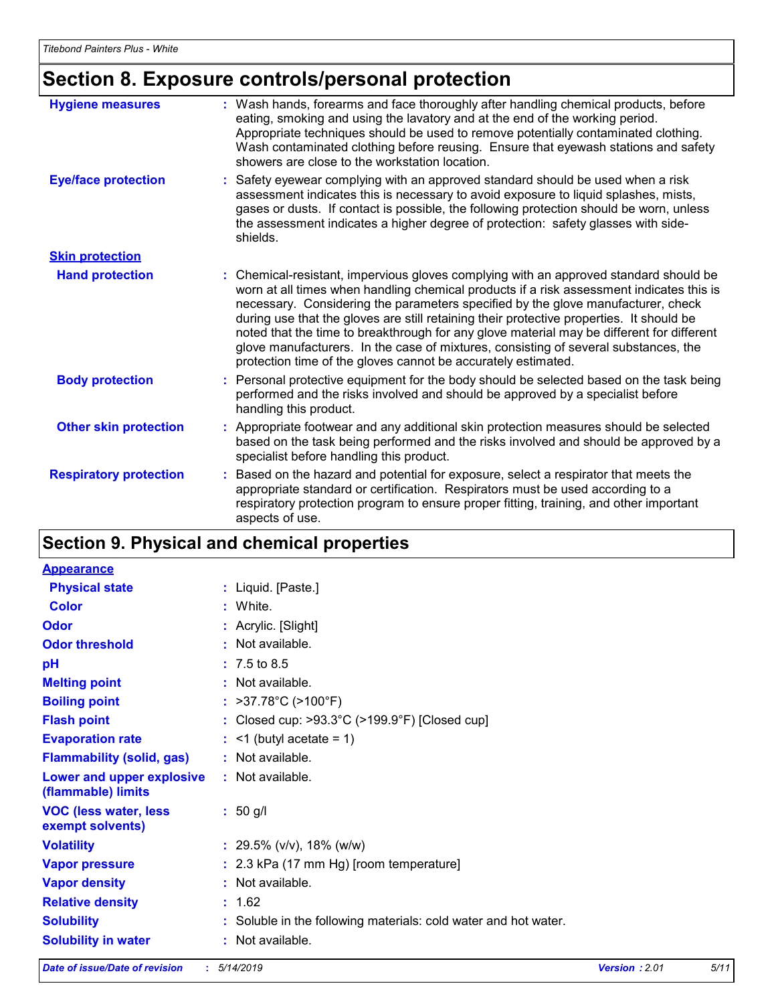# **Section 8. Exposure controls/personal protection**

| <b>Hygiene measures</b>       | : Wash hands, forearms and face thoroughly after handling chemical products, before<br>eating, smoking and using the lavatory and at the end of the working period.<br>Appropriate techniques should be used to remove potentially contaminated clothing.<br>Wash contaminated clothing before reusing. Ensure that eyewash stations and safety<br>showers are close to the workstation location.                                                                                                                                                                                                                      |
|-------------------------------|------------------------------------------------------------------------------------------------------------------------------------------------------------------------------------------------------------------------------------------------------------------------------------------------------------------------------------------------------------------------------------------------------------------------------------------------------------------------------------------------------------------------------------------------------------------------------------------------------------------------|
| <b>Eye/face protection</b>    | : Safety eyewear complying with an approved standard should be used when a risk<br>assessment indicates this is necessary to avoid exposure to liquid splashes, mists,<br>gases or dusts. If contact is possible, the following protection should be worn, unless<br>the assessment indicates a higher degree of protection: safety glasses with side-<br>shields.                                                                                                                                                                                                                                                     |
| <b>Skin protection</b>        |                                                                                                                                                                                                                                                                                                                                                                                                                                                                                                                                                                                                                        |
| <b>Hand protection</b>        | : Chemical-resistant, impervious gloves complying with an approved standard should be<br>worn at all times when handling chemical products if a risk assessment indicates this is<br>necessary. Considering the parameters specified by the glove manufacturer, check<br>during use that the gloves are still retaining their protective properties. It should be<br>noted that the time to breakthrough for any glove material may be different for different<br>glove manufacturers. In the case of mixtures, consisting of several substances, the<br>protection time of the gloves cannot be accurately estimated. |
| <b>Body protection</b>        | : Personal protective equipment for the body should be selected based on the task being<br>performed and the risks involved and should be approved by a specialist before<br>handling this product.                                                                                                                                                                                                                                                                                                                                                                                                                    |
| <b>Other skin protection</b>  | : Appropriate footwear and any additional skin protection measures should be selected<br>based on the task being performed and the risks involved and should be approved by a<br>specialist before handling this product.                                                                                                                                                                                                                                                                                                                                                                                              |
| <b>Respiratory protection</b> | : Based on the hazard and potential for exposure, select a respirator that meets the<br>appropriate standard or certification. Respirators must be used according to a<br>respiratory protection program to ensure proper fitting, training, and other important<br>aspects of use.                                                                                                                                                                                                                                                                                                                                    |

# **Section 9. Physical and chemical properties**

| <b>Appearance</b>                                |                                                                    |
|--------------------------------------------------|--------------------------------------------------------------------|
| <b>Physical state</b>                            | : Liquid. [Paste.]                                                 |
| Color                                            | : White.                                                           |
| Odor                                             | : Acrylic. [Slight]                                                |
| <b>Odor threshold</b>                            | : Not available.                                                   |
| pH                                               | $: 7.5 \text{ to } 8.5$                                            |
| <b>Melting point</b>                             | : Not available.                                                   |
| <b>Boiling point</b>                             | : $>37.78^{\circ}C$ ( $>100^{\circ}F$ )                            |
| <b>Flash point</b>                               | : Closed cup: $>93.3^{\circ}$ C ( $>199.9^{\circ}$ F) [Closed cup] |
| <b>Evaporation rate</b>                          | $:$ <1 (butyl acetate = 1)                                         |
| <b>Flammability (solid, gas)</b>                 | : Not available.                                                   |
| Lower and upper explosive<br>(flammable) limits  | : Not available.                                                   |
| <b>VOC (less water, less</b><br>exempt solvents) | $: 50$ g/l                                                         |
| <b>Volatility</b>                                | $: 29.5\%$ (v/v), 18% (w/w)                                        |
| <b>Vapor pressure</b>                            | : 2.3 kPa (17 mm Hg) [room temperature]                            |
| <b>Vapor density</b>                             | : Not available.                                                   |
| <b>Relative density</b>                          | : 1.62                                                             |
| <b>Solubility</b>                                | Soluble in the following materials: cold water and hot water.      |
| <b>Solubility in water</b>                       | Not available.                                                     |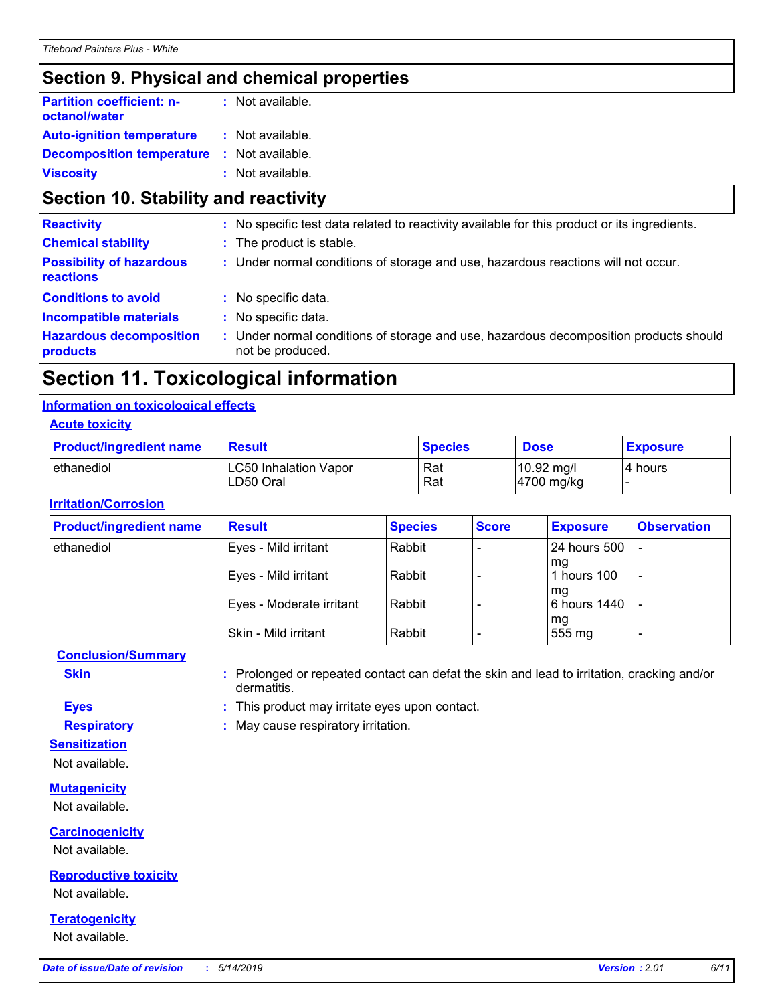# **Section 9. Physical and chemical properties**

| <b>Partition coefficient: n-</b><br>octanol/water | : Not available. |  |
|---------------------------------------------------|------------------|--|
| <b>Auto-ignition temperature</b>                  | : Not available. |  |
| <b>Decomposition temperature</b>                  | : Not available. |  |
| <b>Viscosity</b>                                  | : Not available. |  |

# **Section 10. Stability and reactivity**

| : No specific test data related to reactivity available for this product or its ingredients.                  |
|---------------------------------------------------------------------------------------------------------------|
| : The product is stable.                                                                                      |
| : Under normal conditions of storage and use, hazardous reactions will not occur.                             |
| : No specific data.                                                                                           |
| : No specific data.                                                                                           |
| Under normal conditions of storage and use, hazardous decomposition products should<br>t.<br>not be produced. |
|                                                                                                               |

# **Section 11. Toxicological information**

### **Information on toxicological effects**

### **Acute toxicity**

| <b>Product/ingredient name</b> | <b>Result</b>                      | <b>Species</b> | <b>Dose</b>              | <b>Exposure</b> |
|--------------------------------|------------------------------------|----------------|--------------------------|-----------------|
| ethanediol                     | LC50 Inhalation Vapor<br>LD50 Oral | Rat<br>Rat     | 10.92 mg/l<br>4700 mg/kg | 4 hours         |

# **Irritation/Corrosion**

| <b>Product/ingredient name</b> | <b>Result</b>            | <b>Species</b> | <b>Score</b> | <b>Exposure</b>      | <b>Observation</b>       |
|--------------------------------|--------------------------|----------------|--------------|----------------------|--------------------------|
| ethanediol                     | Eyes - Mild irritant     | Rabbit         |              | <b>24 hours 500</b>  |                          |
|                                | Eyes - Mild irritant     | Rabbit         |              | l mg<br>1 hours 100  | $\overline{\phantom{a}}$ |
|                                | Eyes - Moderate irritant | Rabbit         |              | l ma<br>6 hours 1440 | $\overline{\phantom{0}}$ |
|                                | Skin - Mild irritant     | Rabbit         |              | mg<br>555 mg         | $\overline{\phantom{a}}$ |

# **Conclusion/Summary**

**Skin :** Prolonged or repeated contact can defat the skin and lead to irritation, cracking and/or dermatitis.

**Eyes :** This product may irritate eyes upon contact.

**Respiratory :** May cause respiratory irritation.

**Sensitization**

Not available.

### **Mutagenicity**

Not available.

### **Carcinogenicity**

Not available.

### **Reproductive toxicity**

Not available.

# **Teratogenicity**

Not available.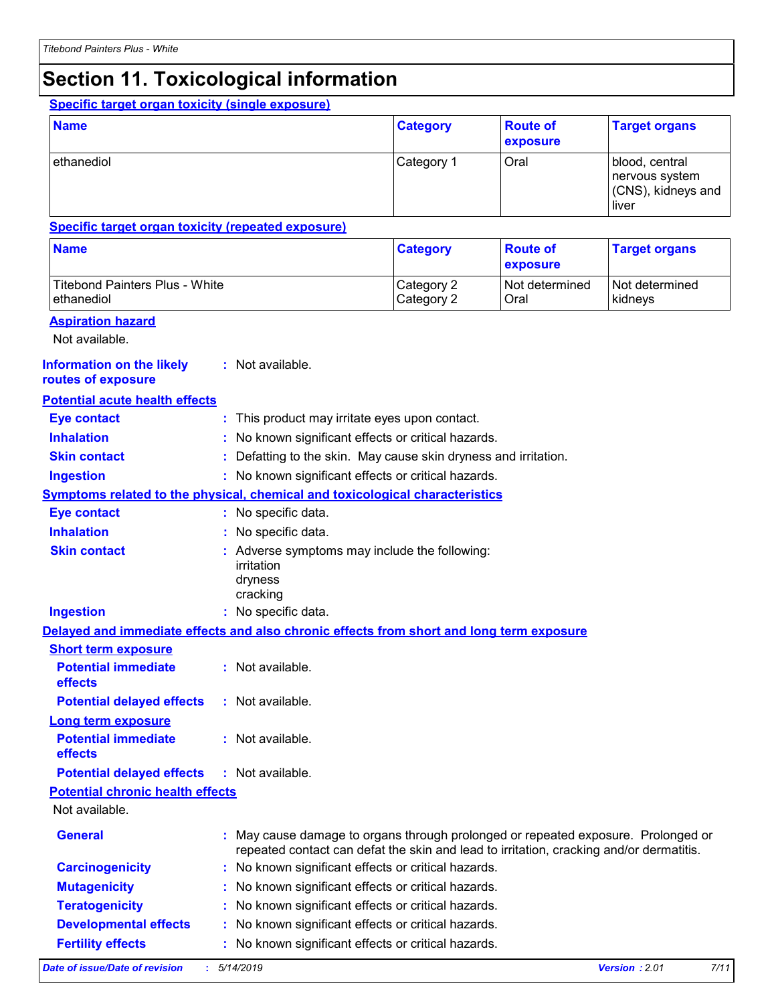# **Section 11. Toxicological information**

# **Specific target organ toxicity (single exposure)**

| <b>Name</b> | <b>Category</b> | <b>Route of</b><br>exposure | <b>Target organs</b>                                               |
|-------------|-----------------|-----------------------------|--------------------------------------------------------------------|
| ethanediol  | Category 1      | Oral                        | blood, central<br>  nervous system_<br>(CNS), kidneys and<br>liver |

### **Specific target organ toxicity (repeated exposure)**

| <b>Name</b>                    | <b>Category</b> | <b>Route of</b><br><b>exposure</b> | <b>Target organs</b> |
|--------------------------------|-----------------|------------------------------------|----------------------|
| Titebond Painters Plus - White | Category 2      | l Not determined                   | I Not determined     |
| ethanediol                     | Category 2      | Oral                               | kidneys              |

### **Aspiration hazard**

Not available.

#### **Information on the likely routes of exposure :** Not available.

# **Potential acute health effects**

| <b>Eye contact</b>                      | This product may irritate eyes upon contact.                                                                                                                               |                              |
|-----------------------------------------|----------------------------------------------------------------------------------------------------------------------------------------------------------------------------|------------------------------|
| <b>Inhalation</b>                       | No known significant effects or critical hazards.                                                                                                                          |                              |
| <b>Skin contact</b>                     | Defatting to the skin. May cause skin dryness and irritation.                                                                                                              |                              |
| <b>Ingestion</b>                        | No known significant effects or critical hazards.                                                                                                                          |                              |
|                                         | Symptoms related to the physical, chemical and toxicological characteristics                                                                                               |                              |
| <b>Eye contact</b>                      | : No specific data.                                                                                                                                                        |                              |
| <b>Inhalation</b>                       | No specific data.                                                                                                                                                          |                              |
| <b>Skin contact</b>                     | Adverse symptoms may include the following:<br>irritation<br>dryness<br>cracking                                                                                           |                              |
| <b>Ingestion</b>                        | : No specific data.                                                                                                                                                        |                              |
|                                         | Delayed and immediate effects and also chronic effects from short and long term exposure                                                                                   |                              |
| <b>Short term exposure</b>              |                                                                                                                                                                            |                              |
| <b>Potential immediate</b><br>effects   | : Not available.                                                                                                                                                           |                              |
| <b>Potential delayed effects</b>        | : Not available.                                                                                                                                                           |                              |
| <b>Long term exposure</b>               |                                                                                                                                                                            |                              |
| <b>Potential immediate</b><br>effects   | : Not available.                                                                                                                                                           |                              |
| <b>Potential delayed effects</b>        | : Not available.                                                                                                                                                           |                              |
| <b>Potential chronic health effects</b> |                                                                                                                                                                            |                              |
| Not available.                          |                                                                                                                                                                            |                              |
| <b>General</b>                          | May cause damage to organs through prolonged or repeated exposure. Prolonged or<br>repeated contact can defat the skin and lead to irritation, cracking and/or dermatitis. |                              |
| <b>Carcinogenicity</b>                  | No known significant effects or critical hazards.                                                                                                                          |                              |
| <b>Mutagenicity</b>                     | No known significant effects or critical hazards.                                                                                                                          |                              |
| <b>Teratogenicity</b>                   | No known significant effects or critical hazards.                                                                                                                          |                              |
| <b>Developmental effects</b>            | No known significant effects or critical hazards.                                                                                                                          |                              |
| <b>Fertility effects</b>                | No known significant effects or critical hazards.                                                                                                                          |                              |
| Date of issue/Date of revision          | 5/14/2019                                                                                                                                                                  | <b>Version: 2.01</b><br>7/11 |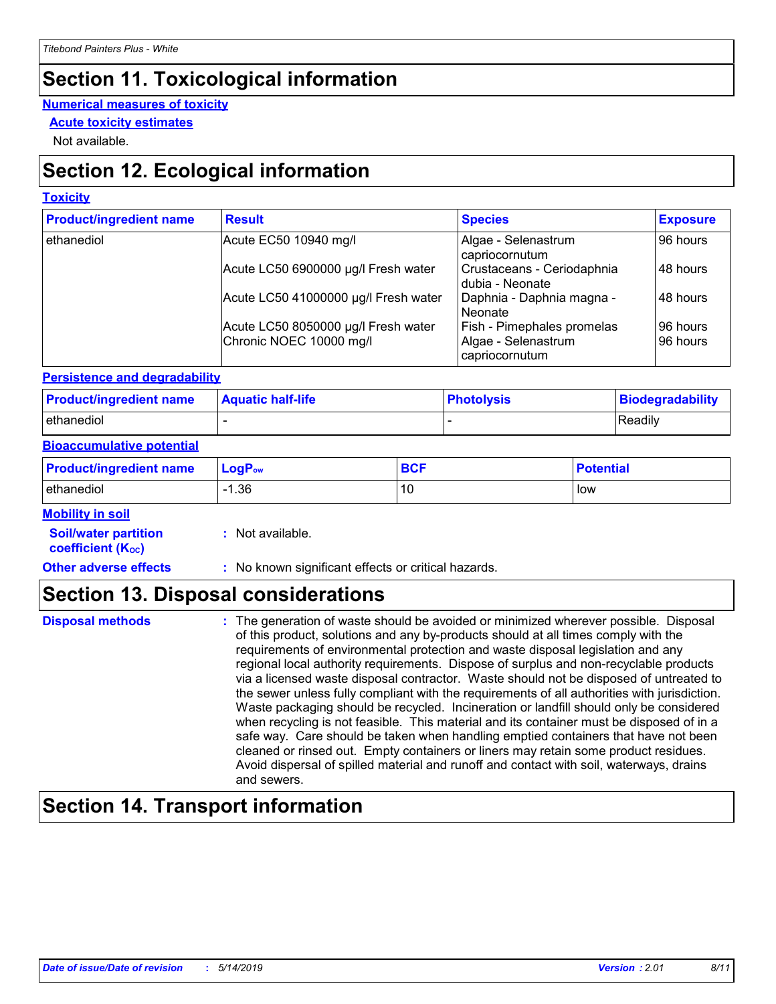# **Section 11. Toxicological information**

### **Numerical measures of toxicity**

**Acute toxicity estimates**

Not available.

# **Section 12. Ecological information**

# **Toxicity**

| <b>Product/ingredient name</b> | <b>Result</b>                        | <b>Species</b>                                  | <b>Exposure</b> |
|--------------------------------|--------------------------------------|-------------------------------------------------|-----------------|
| ethanediol                     | Acute EC50 10940 mg/l                | Algae - Selenastrum<br>capriocornutum           | 96 hours        |
|                                | Acute LC50 6900000 µg/l Fresh water  | Crustaceans - Ceriodaphnia<br>I dubia - Neonate | 48 hours        |
|                                | Acute LC50 41000000 µg/l Fresh water | Daphnia - Daphnia magna -<br>l Neonate          | 48 hours        |
|                                | Acute LC50 8050000 µg/l Fresh water  | Fish - Pimephales promelas                      | 96 hours        |
|                                | Chronic NOEC 10000 mg/l              | Algae - Selenastrum<br>capriocornutum           | 96 hours        |

# **Persistence and degradability**

| <b>Product/ingredient name</b> | <b>Aquatic half-life</b> | <b>Photolysis</b> | Biodegradability |
|--------------------------------|--------------------------|-------------------|------------------|
| ethanediol                     |                          |                   | Readily          |

### **Bioaccumulative potential**

| <b>Product/ingredient name</b> | $LogPow$ | <b>BCF</b> | <b>Potential</b> |
|--------------------------------|----------|------------|------------------|
| ethanediol                     | .36      | 10         | low              |

### **Mobility in soil**

| <b>Soil/water partition</b> |  | Not available. |
|-----------------------------|--|----------------|

**coefficient (KOC)**

**Other adverse effects** : No known significant effects or critical hazards.

# **Section 13. Disposal considerations**

| <b>Disposal methods</b> | : The generation of waste should be avoided or minimized wherever possible. Disposal<br>of this product, solutions and any by-products should at all times comply with the<br>requirements of environmental protection and waste disposal legislation and any<br>regional local authority requirements. Dispose of surplus and non-recyclable products<br>via a licensed waste disposal contractor. Waste should not be disposed of untreated to<br>the sewer unless fully compliant with the requirements of all authorities with jurisdiction.<br>Waste packaging should be recycled. Incineration or landfill should only be considered<br>when recycling is not feasible. This material and its container must be disposed of in a<br>safe way. Care should be taken when handling emptied containers that have not been<br>cleaned or rinsed out. Empty containers or liners may retain some product residues.<br>Avoid dispersal of spilled material and runoff and contact with soil, waterways, drains |
|-------------------------|----------------------------------------------------------------------------------------------------------------------------------------------------------------------------------------------------------------------------------------------------------------------------------------------------------------------------------------------------------------------------------------------------------------------------------------------------------------------------------------------------------------------------------------------------------------------------------------------------------------------------------------------------------------------------------------------------------------------------------------------------------------------------------------------------------------------------------------------------------------------------------------------------------------------------------------------------------------------------------------------------------------|
|                         | and sewers.                                                                                                                                                                                                                                                                                                                                                                                                                                                                                                                                                                                                                                                                                                                                                                                                                                                                                                                                                                                                    |

# **Section 14. Transport information**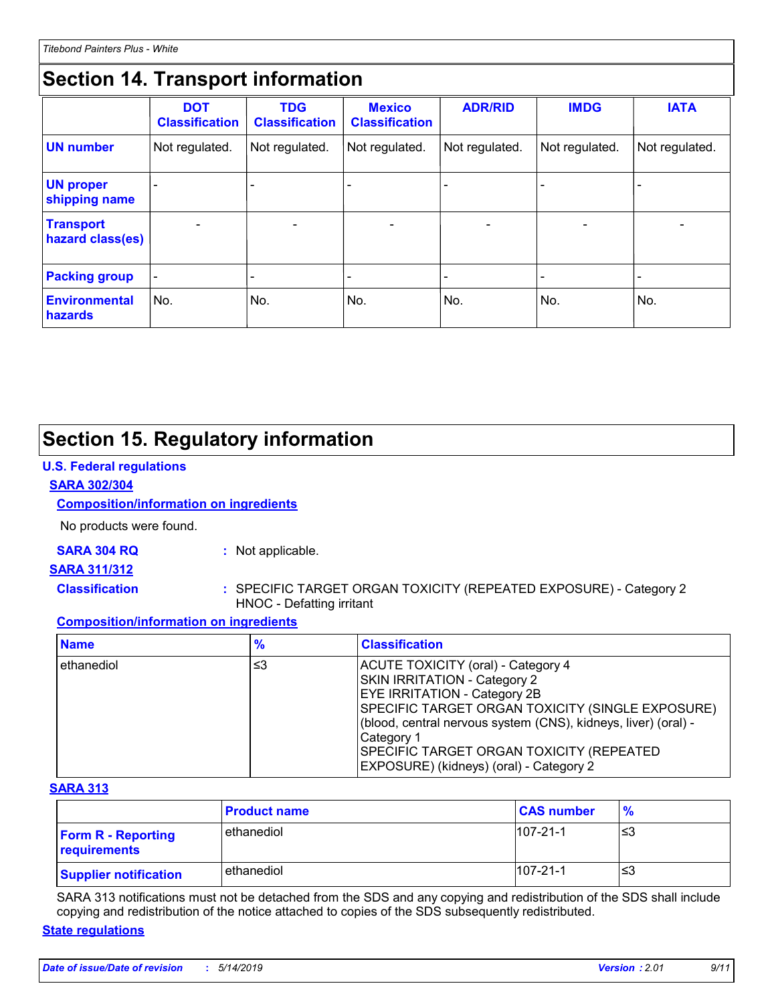# **Section 14. Transport information**

|                                      | <b>DOT</b><br><b>Classification</b> | <b>TDG</b><br><b>Classification</b> | <b>Mexico</b><br><b>Classification</b> | <b>ADR/RID</b> | <b>IMDG</b>              | <b>IATA</b>    |
|--------------------------------------|-------------------------------------|-------------------------------------|----------------------------------------|----------------|--------------------------|----------------|
| <b>UN number</b>                     | Not regulated.                      | Not regulated.                      | Not regulated.                         | Not regulated. | Not regulated.           | Not regulated. |
| <b>UN proper</b><br>shipping name    |                                     |                                     |                                        |                |                          | -              |
| <b>Transport</b><br>hazard class(es) | $\blacksquare$                      | $\overline{\phantom{0}}$            | $\blacksquare$                         | $\blacksquare$ | $\overline{\phantom{0}}$ | $\blacksquare$ |
| <b>Packing group</b>                 |                                     |                                     |                                        |                |                          | -              |
| <b>Environmental</b><br>hazards      | No.                                 | No.                                 | No.                                    | No.            | No.                      | No.            |

# **Section 15. Regulatory information**

# **U.S. Federal regulations**

### **SARA 302/304**

# **Composition/information on ingredients**

No products were found.

# **SARA 304 RQ :** Not applicable.

### **SARA 311/312**

- 
- **Classification :** SPECIFIC TARGET ORGAN TOXICITY (REPEATED EXPOSURE) Category 2 HNOC - Defatting irritant

# **Composition/information on ingredients**

| <b>Name</b> | $\frac{9}{6}$ | <b>Classification</b>                                                                                                                                                                                                                                                                                                                 |
|-------------|---------------|---------------------------------------------------------------------------------------------------------------------------------------------------------------------------------------------------------------------------------------------------------------------------------------------------------------------------------------|
| ethanediol  | ≤3            | ACUTE TOXICITY (oral) - Category 4<br>SKIN IRRITATION - Category 2<br><b>EYE IRRITATION - Category 2B</b><br>SPECIFIC TARGET ORGAN TOXICITY (SINGLE EXPOSURE)<br>(blood, central nervous system (CNS), kidneys, liver) (oral) -<br> Category 1<br>SPECIFIC TARGET ORGAN TOXICITY (REPEATED<br>EXPOSURE) (kidneys) (oral) - Category 2 |

# **SARA 313**

|                                           | <b>Product name</b> | <b>CAS number</b> | $\frac{9}{6}$ |
|-------------------------------------------|---------------------|-------------------|---------------|
| <b>Form R - Reporting</b><br>requirements | ethanediol          | $107 - 21 - 1$    | ≤3            |
| <b>Supplier notification</b>              | ethanediol          | $107 - 21 - 1$    | '≤3           |

SARA 313 notifications must not be detached from the SDS and any copying and redistribution of the SDS shall include copying and redistribution of the notice attached to copies of the SDS subsequently redistributed.

### **State regulations**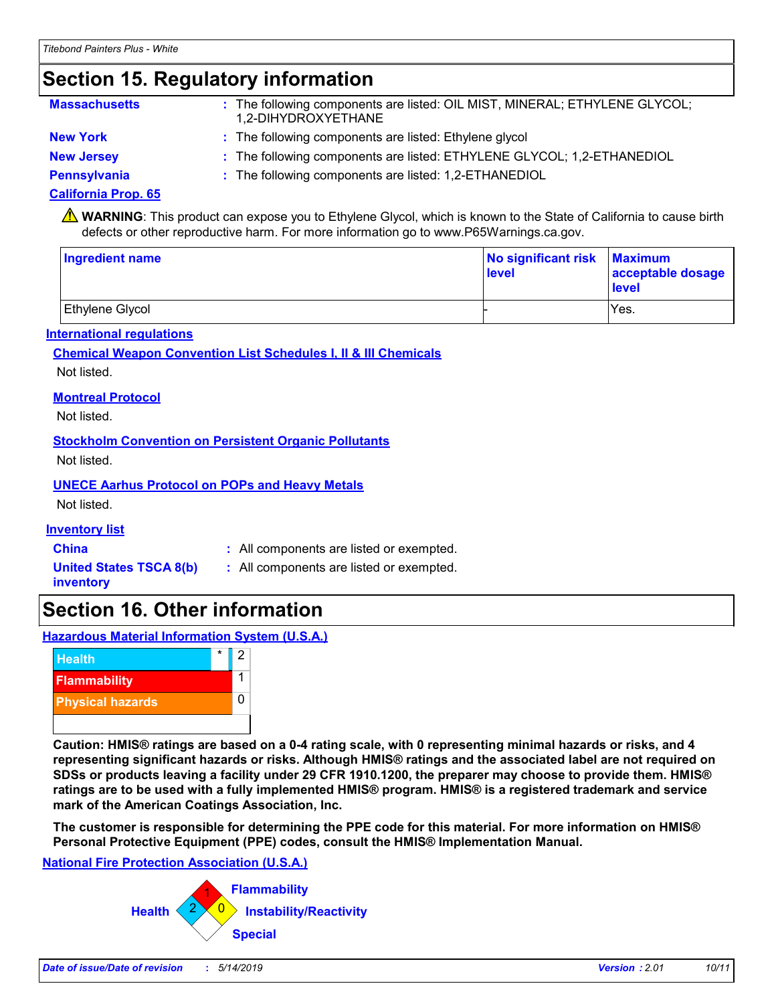# **Section 15. Regulatory information**

| <b>Massachusetts</b> | : The following components are listed: OIL MIST, MINERAL; ETHYLENE GLYCOL;<br>1,2-DIHYDROXYETHANE |
|----------------------|---------------------------------------------------------------------------------------------------|
| <b>New York</b>      | : The following components are listed: Ethylene glycol                                            |
| <b>New Jersey</b>    | : The following components are listed: ETHYLENE GLYCOL; 1,2-ETHANEDIOL                            |
| <b>Pennsylvania</b>  | : The following components are listed: 1,2-ETHANEDIOL                                             |

### **California Prop. 65**

WARNING: This product can expose you to Ethylene Glycol, which is known to the State of California to cause birth defects or other reproductive harm. For more information go to www.P65Warnings.ca.gov.

| <b>Ingredient name</b> | No significant risk Maximum<br>level | acceptable dosage<br>level |  |
|------------------------|--------------------------------------|----------------------------|--|
| Ethylene Glycol        |                                      | Yes.                       |  |

### **International regulations**

### **Chemical Weapon Convention List Schedules I, II & III Chemicals** Not listed.

**Montreal Protocol**

Not listed.

**Stockholm Convention on Persistent Organic Pollutants**

Not listed.

**UNECE Aarhus Protocol on POPs and Heavy Metals**

Not listed.

**Inventory list**

**China :** All components are listed or exempted.

**United States TSCA 8(b) inventory**

**:** All components are listed or exempted.

# **Section 16. Other information**

**Hazardous Material Information System (U.S.A.)**



**Caution: HMIS® ratings are based on a 0-4 rating scale, with 0 representing minimal hazards or risks, and 4 representing significant hazards or risks. Although HMIS® ratings and the associated label are not required on SDSs or products leaving a facility under 29 CFR 1910.1200, the preparer may choose to provide them. HMIS® ratings are to be used with a fully implemented HMIS® program. HMIS® is a registered trademark and service mark of the American Coatings Association, Inc.**

**The customer is responsible for determining the PPE code for this material. For more information on HMIS® Personal Protective Equipment (PPE) codes, consult the HMIS® Implementation Manual.**

### **National Fire Protection Association (U.S.A.)**